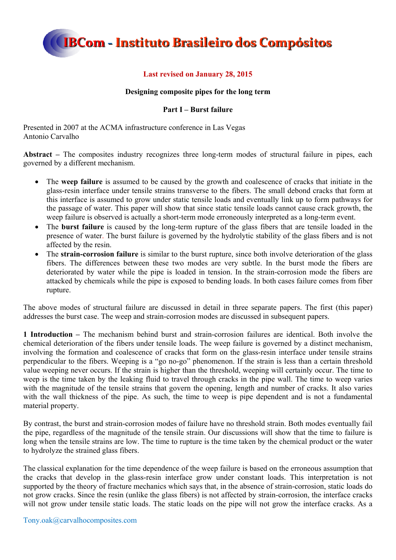

### **Last revised on January 28, 2015**

### **Designing composite pipes for the long term**

### **Part I – Burst failure**

Presented in 2007 at the ACMA infrastructure conference in Las Vegas Antonio Carvalho

**Abstract –** The composites industry recognizes three long-term modes of structural failure in pipes, each governed by a different mechanism.

- The **weep failure** is assumed to be caused by the growth and coalescence of cracks that initiate in the glass-resin interface under tensile strains transverse to the fibers. The small debond cracks that form at this interface is assumed to grow under static tensile loads and eventually link up to form pathways for the passage of water. This paper will show that since static tensile loads cannot cause crack growth, the weep failure is observed is actually a short-term mode erroneously interpreted as a long-term event.
- The **burst failure** is caused by the long-term rupture of the glass fibers that are tensile loaded in the presence of water. The burst failure is governed by the hydrolytic stability of the glass fibers and is not affected by the resin.
- The **strain-corrosion failure** is similar to the burst rupture, since both involve deterioration of the glass fibers. The differences between these two modes are very subtle. In the burst mode the fibers are deteriorated by water while the pipe is loaded in tension. In the strain-corrosion mode the fibers are attacked by chemicals while the pipe is exposed to bending loads. In both cases failure comes from fiber rupture.

The above modes of structural failure are discussed in detail in three separate papers. The first (this paper) addresses the burst case. The weep and strain-corrosion modes are discussed in subsequent papers.

**1 Introduction –** The mechanism behind burst and strain-corrosion failures are identical. Both involve the chemical deterioration of the fibers under tensile loads. The weep failure is governed by a distinct mechanism, involving the formation and coalescence of cracks that form on the glass-resin interface under tensile strains perpendicular to the fibers. Weeping is a "go no-go" phenomenon. If the strain is less than a certain threshold value weeping never occurs. If the strain is higher than the threshold, weeping will certainly occur. The time to weep is the time taken by the leaking fluid to travel through cracks in the pipe wall. The time to weep varies with the magnitude of the tensile strains that govern the opening, length and number of cracks. It also varies with the wall thickness of the pipe. As such, the time to weep is pipe dependent and is not a fundamental material property.

By contrast, the burst and strain-corrosion modes of failure have no threshold strain. Both modes eventually fail the pipe, regardless of the magnitude of the tensile strain. Our discussions will show that the time to failure is long when the tensile strains are low. The time to rupture is the time taken by the chemical product or the water to hydrolyze the strained glass fibers.

The classical explanation for the time dependence of the weep failure is based on the erroneous assumption that the cracks that develop in the glass-resin interface grow under constant loads. This interpretation is not supported by the theory of fracture mechanics which says that, in the absence of strain-corrosion, static loads do not grow cracks. Since the resin (unlike the glass fibers) is not affected by strain-corrosion, the interface cracks will not grow under tensile static loads. The static loads on the pipe will not grow the interface cracks. As a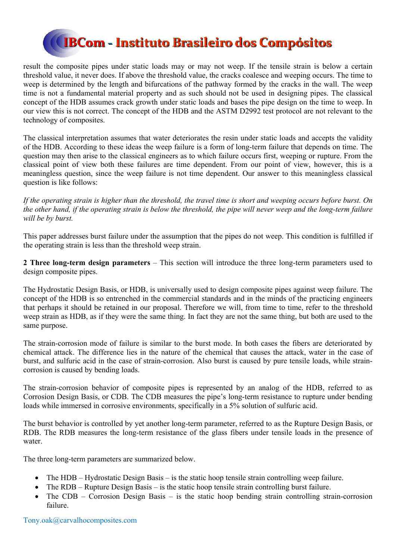result the composite pipes under static loads may or may not weep. If the tensile strain is below a certain threshold value, it never does. If above the threshold value, the cracks coalesce and weeping occurs. The time to weep is determined by the length and bifurcations of the pathway formed by the cracks in the wall. The weep time is not a fundamental material property and as such should not be used in designing pipes. The classical concept of the HDB assumes crack growth under static loads and bases the pipe design on the time to weep. In our view this is not correct. The concept of the HDB and the ASTM D2992 test protocol are not relevant to the technology of composites.

The classical interpretation assumes that water deteriorates the resin under static loads and accepts the validity of the HDB. According to these ideas the weep failure is a form of long-term failure that depends on time. The question may then arise to the classical engineers as to which failure occurs first, weeping or rupture. From the classical point of view both these failures are time dependent. From our point of view, however, this is a meaningless question, since the weep failure is not time dependent. Our answer to this meaningless classical question is like follows:

*If the operating strain is higher than the threshold, the travel time is short and weeping occurs before burst. On the other hand, if the operating strain is below the threshold, the pipe will never weep and the long-term failure will be by burst.* 

This paper addresses burst failure under the assumption that the pipes do not weep. This condition is fulfilled if the operating strain is less than the threshold weep strain.

**2 Three long-term design parameters** – This section will introduce the three long-term parameters used to design composite pipes.

The Hydrostatic Design Basis, or HDB, is universally used to design composite pipes against weep failure. The concept of the HDB is so entrenched in the commercial standards and in the minds of the practicing engineers that perhaps it should be retained in our proposal. Therefore we will, from time to time, refer to the threshold weep strain as HDB, as if they were the same thing. In fact they are not the same thing, but both are used to the same purpose.

The strain-corrosion mode of failure is similar to the burst mode. In both cases the fibers are deteriorated by chemical attack. The difference lies in the nature of the chemical that causes the attack, water in the case of burst, and sulfuric acid in the case of strain-corrosion. Also burst is caused by pure tensile loads, while straincorrosion is caused by bending loads.

The strain-corrosion behavior of composite pipes is represented by an analog of the HDB, referred to as Corrosion Design Basis, or CDB. The CDB measures the pipe's long-term resistance to rupture under bending loads while immersed in corrosive environments, specifically in a 5% solution of sulfuric acid.

The burst behavior is controlled by yet another long-term parameter, referred to as the Rupture Design Basis, or RDB. The RDB measures the long-term resistance of the glass fibers under tensile loads in the presence of water.

The three long-term parameters are summarized below.

- The HDB Hydrostatic Design Basis is the static hoop tensile strain controlling weep failure.
- The RDB Rupture Design Basis is the static hoop tensile strain controlling burst failure.
- The CDB Corrosion Design Basis is the static hoop bending strain controlling strain-corrosion failure.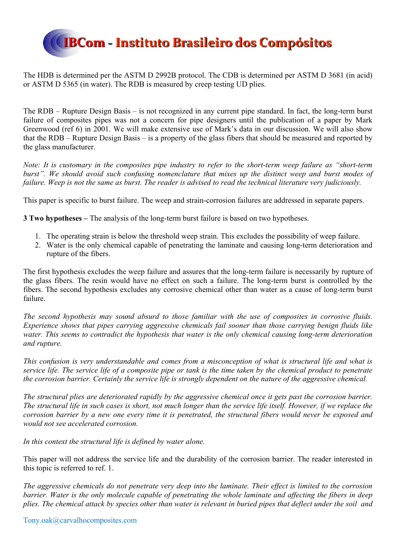

The HDB is determined per the ASTM D 2992B protocol. The CDB is determined per ASTM D 3681 (in acid) or ASTM D 5365 (in water). The RDB is measured by creep testing UD plies.

The RDB – Rupture Design Basis – is not recognized in any current pipe standard. In fact, the long-term burst failure of composites pipes was not a concern for pipe designers until the publication of a paper by Mark Greenwood (ref 6) in 2001. We will make extensive use of Mark's data in our discussion. We will also show that the RDB – Rupture Design Basis – is a property of the glass fibers that should be measured and reported by the glass manufacturer.

*Note: It is customary in the composites pipe industry to refer to the short-term weep failure as "short-term burst". We should avoid such confusing nomenclature that mixes up the distinct weep and burst modes of failure. Weep is not the same as burst. The reader is advised to read the technical literature very judiciously.* 

This paper is specific to burst failure. The weep and strain-corrosion failures are addressed in separate papers.

**3 Two hypotheses –** The analysis of the long-term burst failure is based on two hypotheses.

- 1. The operating strain is below the threshold weep strain. This excludes the possibility of weep failure.
- 2. Water is the only chemical capable of penetrating the laminate and causing long-term deterioration and rupture of the fibers.

The first hypothesis excludes the weep failure and assures that the long-term failure is necessarily by rupture of the glass fibers. The resin would have no effect on such a failure. The long-term burst is controlled by the fibers. The second hypothesis excludes any corrosive chemical other than water as a cause of long-term burst failure.

*The second hypothesis may sound absurd to those familiar with the use of composites in corrosive fluids. Experience shows that pipes carrying aggressive chemicals fail sooner than those carrying benign fluids like water. This seems to contradict the hypothesis that water is the only chemical causing long-term deterioration and rupture.* 

*This confusion is very understandable and comes from a misconception of what is structural life and what is service life. The service life of a composite pipe or tank is the time taken by the chemical product to penetrate the corrosion barrier. Certainly the service life is strongly dependent on the nature of the aggressive chemical.* 

*The structural plies are deteriorated rapidly by the aggressive chemical once it gets past the corrosion barrier. The structural life in such cases is short, not much longer than the service life itself. However, if we replace the corrosion barrier by a new one every time it is penetrated, the structural fibers would never be exposed and would not see accelerated corrosion.* 

*In this context the structural life is defined by water alone.* 

This paper will not address the service life and the durability of the corrosion barrier. The reader interested in this topic is referred to ref. 1.

*The aggressive chemicals do not penetrate very deep into the laminate. Their effect is limited to the corrosion barrier. Water is the only molecule capable of penetrating the whole laminate and affecting the fibers in deep plies. The chemical attack by species other than water is relevant in buried pipes that deflect under the soil and*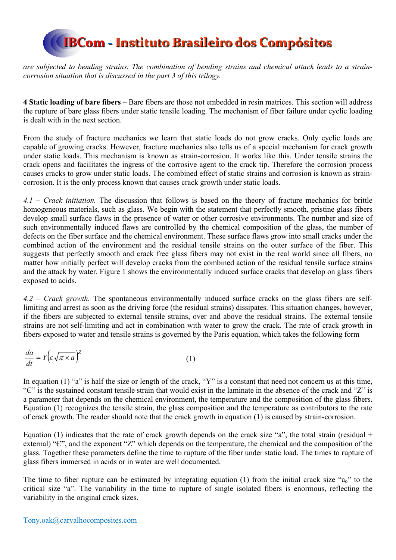

*are subjected to bending strains. The combination of bending strains and chemical attack leads to a straincorrosion situation that is discussed in the part 3 of this trilogy.* 

**4 Static loading of bare fibers –** Bare fibers are those not embedded in resin matrices. This section will address the rupture of bare glass fibers under static tensile loading. The mechanism of fiber failure under cyclic loading is dealt with in the next section.

From the study of fracture mechanics we learn that static loads do not grow cracks. Only cyclic loads are capable of growing cracks. However, fracture mechanics also tells us of a special mechanism for crack growth under static loads. This mechanism is known as strain-corrosion. It works like this. Under tensile strains the crack opens and facilitates the ingress of the corrosive agent to the crack tip. Therefore the corrosion process causes cracks to grow under static loads. The combined effect of static strains and corrosion is known as straincorrosion. It is the only process known that causes crack growth under static loads.

*4.1 – Crack initiation.* The discussion that follows is based on the theory of fracture mechanics for brittle homogeneous materials, such as glass. We begin with the statement that perfectly smooth, pristine glass fibers develop small surface flaws in the presence of water or other corrosive environments. The number and size of such environmentally induced flaws are controlled by the chemical composition of the glass, the number of defects on the fiber surface and the chemical environment. These surface flaws grow into small cracks under the combined action of the environment and the residual tensile strains on the outer surface of the fiber. This suggests that perfectly smooth and crack free glass fibers may not exist in the real world since all fibers, no matter how initially perfect will develop cracks from the combined action of the residual tensile surface strains and the attack by water. Figure 1 shows the environmentally induced surface cracks that develop on glass fibers exposed to acids.

*4.2 – Crack growth.* The spontaneous environmentally induced surface cracks on the glass fibers are selflimiting and arrest as soon as the driving force (the residual strains) dissipates. This situation changes, however, if the fibers are subjected to external tensile strains, over and above the residual strains. The external tensile strains are not self-limiting and act in combination with water to grow the crack. The rate of crack growth in fibers exposed to water and tensile strains is governed by the Paris equation, which takes the following form

$$
\frac{da}{dt} = Y \left( \varepsilon \sqrt{\pi \times a} \right)^2 \tag{1}
$$

In equation (1) "a" is half the size or length of the crack, "Y" is a constant that need not concern us at this time, "Є" is the sustained constant tensile strain that would exist in the laminate in the absence of the crack and "Z" is a parameter that depends on the chemical environment, the temperature and the composition of the glass fibers. Equation (1) recognizes the tensile strain, the glass composition and the temperature as contributors to the rate of crack growth. The reader should note that the crack growth in equation (1) is caused by strain-corrosion.

Equation (1) indicates that the rate of crack growth depends on the crack size "a", the total strain (residual + external) "C", and the exponent "Z" which depends on the temperature, the chemical and the composition of the glass. Together these parameters define the time to rupture of the fiber under static load. The times to rupture of glass fibers immersed in acids or in water are well documented.

The time to fiber rupture can be estimated by integrating equation (1) from the initial crack size " $a_0$ " to the critical size "a". The variability in the time to rupture of single isolated fibers is enormous, reflecting the variability in the original crack sizes.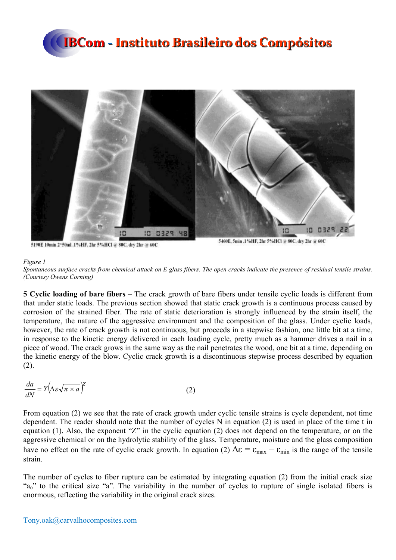



5190E 10min 2\*50ml .1%HF, 2hr 5%HCl @ 80C, dry 2hr @ 60C

5460E, 5min .1%HF, 2hr 5%HCl @ 80C, dry 2hr @ 60C

#### *Figure 1*

*Spontaneous surface cracks from chemical attack on E glass fibers. The open cracks indicate the presence of residual tensile strains. (Courtesy Owens Corning)* 

**5 Cyclic loading of bare fibers –** The crack growth of bare fibers under tensile cyclic loads is different from that under static loads. The previous section showed that static crack growth is a continuous process caused by corrosion of the strained fiber. The rate of static deterioration is strongly influenced by the strain itself, the temperature, the nature of the aggressive environment and the composition of the glass. Under cyclic loads, however, the rate of crack growth is not continuous, but proceeds in a stepwise fashion, one little bit at a time, in response to the kinetic energy delivered in each loading cycle, pretty much as a hammer drives a nail in a piece of wood. The crack grows in the same way as the nail penetrates the wood, one bit at a time, depending on the kinetic energy of the blow. Cyclic crack growth is a discontinuous stepwise process described by equation (2).

$$
\frac{da}{dN} = Y \left( \Delta \varepsilon \sqrt{\pi \times a} \right)^2 \tag{2}
$$

From equation (2) we see that the rate of crack growth under cyclic tensile strains is cycle dependent, not time dependent. The reader should note that the number of cycles N in equation (2) is used in place of the time t in equation (1). Also, the exponent "Z" in the cyclic equation (2) does not depend on the temperature, or on the aggressive chemical or on the hydrolytic stability of the glass. Temperature, moisture and the glass composition have no effect on the rate of cyclic crack growth. In equation (2)  $\Delta \epsilon = \epsilon_{\text{max}} - \epsilon_{\text{min}}$  is the range of the tensile strain.

The number of cycles to fiber rupture can be estimated by integrating equation (2) from the initial crack size "a<sub>o</sub>" to the critical size "a". The variability in the number of cycles to rupture of single isolated fibers is enormous, reflecting the variability in the original crack sizes.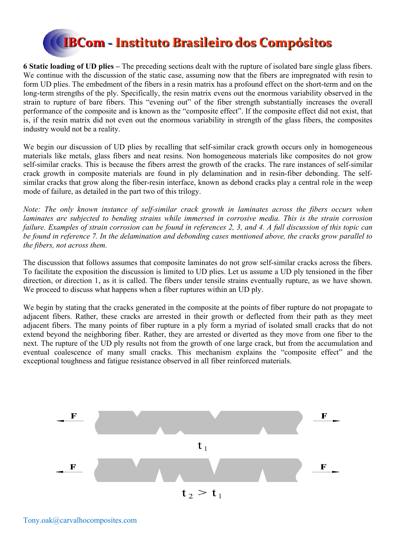

**6 Static loading of UD plies –** The preceding sections dealt with the rupture of isolated bare single glass fibers. We continue with the discussion of the static case, assuming now that the fibers are impregnated with resin to form UD plies. The embedment of the fibers in a resin matrix has a profound effect on the short-term and on the long-term strengths of the ply. Specifically, the resin matrix evens out the enormous variability observed in the strain to rupture of bare fibers. This "evening out" of the fiber strength substantially increases the overall performance of the composite and is known as the "composite effect". If the composite effect did not exist, that is, if the resin matrix did not even out the enormous variability in strength of the glass fibers, the composites industry would not be a reality.

We begin our discussion of UD plies by recalling that self-similar crack growth occurs only in homogeneous materials like metals, glass fibers and neat resins. Non homogeneous materials like composites do not grow self-similar cracks. This is because the fibers arrest the growth of the cracks. The rare instances of self-similar crack growth in composite materials are found in ply delamination and in resin-fiber debonding. The selfsimilar cracks that grow along the fiber-resin interface, known as debond cracks play a central role in the weep mode of failure, as detailed in the part two of this trilogy.

*Note: The only known instance of self-similar crack growth in laminates across the fibers occurs when laminates are subjected to bending strains while immersed in corrosive media. This is the strain corrosion failure. Examples of strain corrosion can be found in references 2, 3, and 4. A full discussion of this topic can be found in reference 7. In the delamination and debonding cases mentioned above, the cracks grow parallel to the fibers, not across them.* 

The discussion that follows assumes that composite laminates do not grow self-similar cracks across the fibers. To facilitate the exposition the discussion is limited to UD plies. Let us assume a UD ply tensioned in the fiber direction, or direction 1, as it is called. The fibers under tensile strains eventually rupture, as we have shown. We proceed to discuss what happens when a fiber ruptures within an UD ply.

We begin by stating that the cracks generated in the composite at the points of fiber rupture do not propagate to adjacent fibers. Rather, these cracks are arrested in their growth or deflected from their path as they meet adjacent fibers. The many points of fiber rupture in a ply form a myriad of isolated small cracks that do not extend beyond the neighboring fiber. Rather, they are arrested or diverted as they move from one fiber to the next. The rupture of the UD ply results not from the growth of one large crack, but from the accumulation and eventual coalescence of many small cracks. This mechanism explains the "composite effect" and the exceptional toughness and fatigue resistance observed in all fiber reinforced materials.

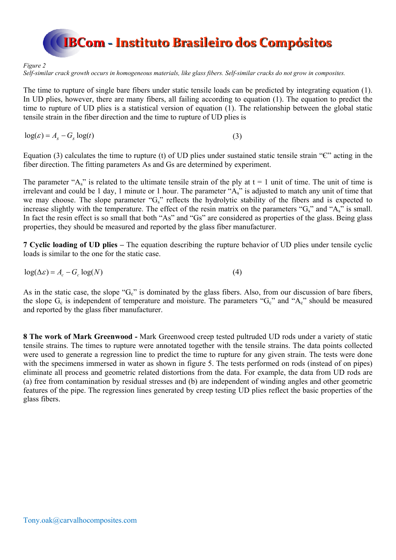

#### *Figure 2*

*Self-similar crack growth occurs in homogeneous materials, like glass fibers. Self-similar cracks do not grow in composites.* 

The time to rupture of single bare fibers under static tensile loads can be predicted by integrating equation (1). In UD plies, however, there are many fibers, all failing according to equation (1). The equation to predict the time to rupture of UD plies is a statistical version of equation (1). The relationship between the global static tensile strain in the fiber direction and the time to rupture of UD plies is

 $\log(\varepsilon) = A_{\rm s} - G_{\rm s} \log(t)$  (3)

Equation (3) calculates the time to rupture (t) of UD plies under sustained static tensile strain " $C$ " acting in the fiber direction. The fitting parameters As and Gs are determined by experiment.

The parameter " $A_s$ " is related to the ultimate tensile strain of the ply at  $t = 1$  unit of time. The unit of time is irrelevant and could be 1 day, 1 minute or 1 hour. The parameter "As" is adjusted to match any unit of time that we may choose. The slope parameter "G<sub>s</sub>" reflects the hydrolytic stability of the fibers and is expected to increase slightly with the temperature. The effect of the resin matrix on the parameters " $G_s$ " and " $A_s$ " is small. In fact the resin effect is so small that both "As" and "Gs" are considered as properties of the glass. Being glass properties, they should be measured and reported by the glass fiber manufacturer.

**7 Cyclic loading of UD plies –** The equation describing the rupture behavior of UD plies under tensile cyclic loads is similar to the one for the static case.

$$
\log(\Delta \varepsilon) = A_c - G_c \log(N) \tag{4}
$$

As in the static case, the slope " $G_c$ " is dominated by the glass fibers. Also, from our discussion of bare fibers, the slope  $G_c$  is independent of temperature and moisture. The parameters " $G_c$ " and " $A_c$ " should be measured and reported by the glass fiber manufacturer.

**8 The work of Mark Greenwood -** Mark Greenwood creep tested pultruded UD rods under a variety of static tensile strains. The times to rupture were annotated together with the tensile strains. The data points collected were used to generate a regression line to predict the time to rupture for any given strain. The tests were done with the specimens immersed in water as shown in figure 5. The tests performed on rods (instead of on pipes) eliminate all process and geometric related distortions from the data. For example, the data from UD rods are (a) free from contamination by residual stresses and (b) are independent of winding angles and other geometric features of the pipe. The regression lines generated by creep testing UD plies reflect the basic properties of the glass fibers.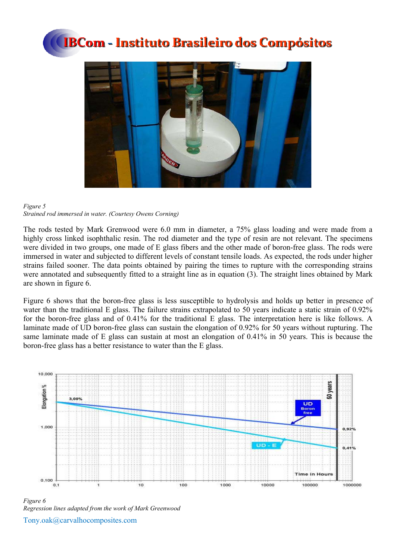



#### *Figure 5 Strained rod immersed in water. (Courtesy Owens Corning)*

The rods tested by Mark Grenwood were 6.0 mm in diameter, a 75% glass loading and were made from a highly cross linked isophthalic resin. The rod diameter and the type of resin are not relevant. The specimens were divided in two groups, one made of E glass fibers and the other made of boron-free glass. The rods were immersed in water and subjected to different levels of constant tensile loads. As expected, the rods under higher strains failed sooner. The data points obtained by pairing the times to rupture with the corresponding strains were annotated and subsequently fitted to a straight line as in equation (3). The straight lines obtained by Mark are shown in figure 6.

Figure 6 shows that the boron-free glass is less susceptible to hydrolysis and holds up better in presence of water than the traditional E glass. The failure strains extrapolated to 50 years indicate a static strain of 0.92% for the boron-free glass and of 0.41% for the traditional E glass. The interpretation here is like follows. A laminate made of UD boron-free glass can sustain the elongation of 0.92% for 50 years without rupturing. The same laminate made of E glass can sustain at most an elongation of 0.41% in 50 years. This is because the boron-free glass has a better resistance to water than the E glass.



Tony.oak@carvalhocomposites.com *Figure 6 Regression lines adapted from the work of Mark Greenwood*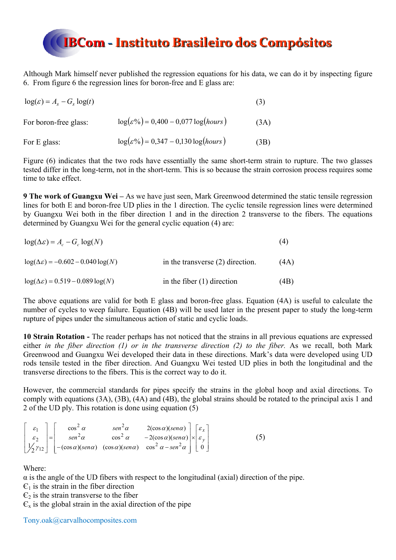

Although Mark himself never published the regression equations for his data, we can do it by inspecting figure 6. From figure 6 the regression lines for boron-free and E glass are:

| $\log(\varepsilon) = A_s - G_s \log(t)$ |                                                   | (3)  |
|-----------------------------------------|---------------------------------------------------|------|
| For boron-free glass:                   | $\log(\varepsilon\%) = 0,400 - 0,077 \log(hours)$ | (3A) |
| For E glass:                            | $\log(\varepsilon\%) = 0,347 - 0,130 \log(hours)$ | (3B) |

Figure (6) indicates that the two rods have essentially the same short-term strain to rupture. The two glasses tested differ in the long-term, not in the short-term. This is so because the strain corrosion process requires some time to take effect.

**9 The work of Guangxu Wei –** As we have just seen, Mark Greenwood determined the static tensile regression lines for both E and boron-free UD plies in the 1 direction. The cyclic tensile regression lines were determined by Guangxu Wei both in the fiber direction 1 and in the direction 2 transverse to the fibers. The equations determined by Guangxu Wei for the general cyclic equation (4) are:

| $\log(\Delta \varepsilon) = A_c - G_c \log(N)$    |                                    | (4)  |
|---------------------------------------------------|------------------------------------|------|
| $log(\Delta \varepsilon) = -0.602 - 0.040 log(N)$ | in the transverse $(2)$ direction. | (4A) |
| $log(\Delta \varepsilon) = 0.519 - 0.089 log(N)$  | in the fiber $(1)$ direction       | (4B) |

The above equations are valid for both E glass and boron-free glass. Equation (4A) is useful to calculate the number of cycles to weep failure. Equation (4B) will be used later in the present paper to study the long-term rupture of pipes under the simultaneous action of static and cyclic loads.

**10 Strain Rotation -** The reader perhaps has not noticed that the strains in all previous equations are expressed either *in the fiber direction (1) or in the transverse direction (2) to the fiber*. As we recall, both Mark Greenwood and Guangxu Wei developed their data in these directions. Mark's data were developed using UD rods tensile tested in the fiber direction. And Guangxu Wei tested UD plies in both the longitudinal and the transverse directions to the fibers. This is the correct way to do it.

However, the commercial standards for pipes specify the strains in the global hoop and axial directions. To comply with equations (3A), (3B), (4A) and (4B), the global strains should be rotated to the principal axis 1 and 2 of the UD ply. This rotation is done using equation (5)

| $\begin{array}{ c c c c c }\n\hline\n\text{6} & \text{6} & \text{6} \\ \hline\n\end{array}$ | $\cos^2 \alpha$ | $\begin{vmatrix} \n\sin^2 \alpha & 2(\cos \alpha)(\sin \alpha) \\ \cos^2 \alpha & -2(\cos \alpha)(\sin \alpha)\n\end{vmatrix}\n\times\n\begin{bmatrix}\n\varepsilon_x \\ \varepsilon_y\n\end{bmatrix}$                                                                                                                           |  |  |
|---------------------------------------------------------------------------------------------|-----------------|----------------------------------------------------------------------------------------------------------------------------------------------------------------------------------------------------------------------------------------------------------------------------------------------------------------------------------|--|--|
|                                                                                             |                 |                                                                                                                                                                                                                                                                                                                                  |  |  |
|                                                                                             |                 | $\begin{bmatrix} \varepsilon_2 \\ \frac{1}{2}\gamma_{12} \end{bmatrix} = \begin{bmatrix} \varepsilon_2 \\ -(\cos\alpha)(\sin\alpha) & \cos^2\alpha & -2(\cos\alpha)(\sin\alpha) \\ -(\cos\alpha)(\sin\alpha) & \cos^2\alpha-\sin^2\alpha \end{bmatrix} \times \begin{bmatrix} \varepsilon_y \\ \varepsilon_y \\ 0 \end{bmatrix}$ |  |  |

Where:

 $\alpha$  is the angle of the UD fibers with respect to the longitudinal (axial) direction of the pipe.

 $\epsilon_1$  is the strain in the fiber direction

 $\epsilon_2$  is the strain transverse to the fiber

 $\epsilon_{x}$  is the global strain in the axial direction of the pipe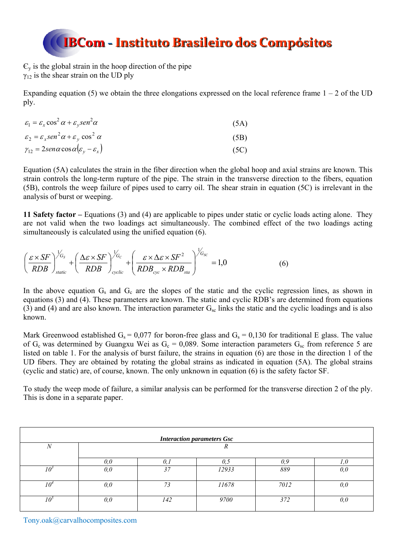$\epsilon_{v}$  is the global strain in the hoop direction of the pipe  $\gamma_{12}$  is the shear strain on the UD ply

Expanding equation (5) we obtain the three elongations expressed on the local reference frame  $1 - 2$  of the UD ply.

| $\varepsilon_1 = \varepsilon_x \cos^2 \alpha + \varepsilon_v \sin^2 \alpha$ | (5A) |
|-----------------------------------------------------------------------------|------|
| $\varepsilon_2 = \varepsilon_x \sin^2 \alpha + \varepsilon_y \cos^2 \alpha$ | (5B) |
| $\gamma_{12} = 2$ sen $\alpha$ cos $\alpha(\varepsilon_v - \varepsilon_x)$  | (5C) |

Equation (5A) calculates the strain in the fiber direction when the global hoop and axial strains are known. This strain controls the long-term rupture of the pipe. The strain in the transverse direction to the fibers, equation (5B), controls the weep failure of pipes used to carry oil. The shear strain in equation (5C) is irrelevant in the analysis of burst or weeping.

**11 Safety factor –** Equations (3) and (4) are applicable to pipes under static or cyclic loads acting alone. They are not valid when the two loadings act simultaneously. The combined effect of the two loadings acting simultaneously is calculated using the unified equation (6).

$$
\left(\frac{\varepsilon \times SF}{RDB}\right)_{static}^{1/G_s} + \left(\frac{\Delta \varepsilon \times SF}{RDB}\right)_{cyclic}^{1/G_c} + \left(\frac{\varepsilon \times \Delta \varepsilon \times SF^2}{RDB_{cyc} \times RDB_{sta}}\right)_{GSC}^{1/G_{SC}} = 1,0
$$
\n(6)

In the above equation  $G_s$  and  $G_c$  are the slopes of the static and the cyclic regression lines, as shown in equations (3) and (4). These parameters are known. The static and cyclic RDB's are determined from equations (3) and (4) and are also known. The interaction parameter  $G_{sc}$  links the static and the cyclic loadings and is also known.

Mark Greenwood established  $G_s = 0.077$  for boron-free glass and  $G_s = 0.130$  for traditional E glass. The value of  $G_c$  was determined by Guangxu Wei as  $G_c = 0.089$ . Some interaction parameters  $G_{sc}$  from reference 5 are listed on table 1. For the analysis of burst failure, the strains in equation (6) are those in the direction 1 of the UD fibers. They are obtained by rotating the global strains as indicated in equation (5A). The global strains (cyclic and static) are, of course, known. The only unknown in equation (6) is the safety factor SF.

To study the weep mode of failure, a similar analysis can be performed for the transverse direction 2 of the ply. This is done in a separate paper.

| <b>Interaction parameters Gsc</b> |     |     |       |      |     |
|-----------------------------------|-----|-----|-------|------|-----|
| $\boldsymbol{N}$                  |     |     | л     |      |     |
|                                   | 0.0 |     | U.J   | 0.9  |     |
| 10 <sup>3</sup>                   | 0,0 | 37  | 12933 | 889  | 0,0 |
| 10ª                               | 0,0 | 73  | 11678 | 7012 | 0,0 |
| 10°                               | 0,0 | 142 | 9700  | 372  | 0,0 |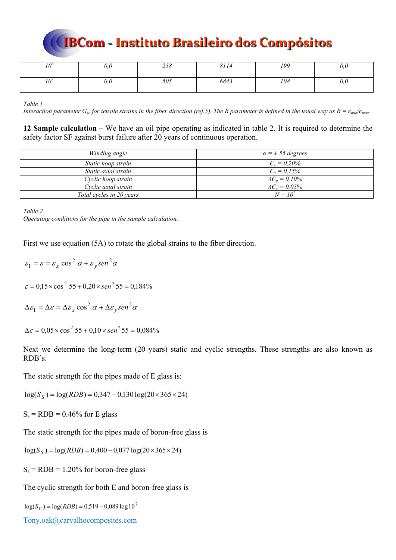| $\Omega$ | v,v | 250<br>200 | 8114 | 199 | v,v |
|----------|-----|------------|------|-----|-----|
| $\Omega$ | v,v | 505        | 6843 | 108 | v,v |

*Table 1* 

*Interaction parameter G<sub>sc</sub> for tensile strains in the fiber direction (ref.5). The R parameter is defined in the usual way as R =*  $\epsilon_{min}/\epsilon_{max}$ *.* 

**12 Sample calculation –** We have an oil pipe operating as indicated in table 2. It is required to determine the safety factor SF against burst failure after 20 years of continuous operation.

| Winding angle            | $\alpha = \pm 55$ degrees    |
|--------------------------|------------------------------|
| Static hoop strain       | $C_v = 0.20\%$               |
| Static axial strain      | $C_r = 0.15\%$               |
| Cyclic hoop strain       | $\Delta \epsilon_v = 0.10\%$ |
| Cyclic axial strain      | $\Delta C_x = 0.05\%$        |
| Total cycles in 20 years | $N = 10^{7}$                 |

*Table 2* 

*Operating conditions for the pipe in the sample calculation.* 

First we use equation (5A) to rotate the global strains to the fiber direction.

 $\varepsilon_1 = \varepsilon = \varepsilon_x \cos^2 \alpha + \varepsilon_y \sin^2 \alpha$  $\varepsilon = 0.15 \times \cos^2 55 + 0.20 \times \sin^2 55 = 0.184\%$ 

 $\Delta \varepsilon_1 = \Delta \varepsilon = \Delta \varepsilon_x \cos^2 \alpha + \Delta \varepsilon_y \sin^2 \alpha$ 

 $\Delta \varepsilon = 0.05 \times \cos^2 55 + 0.10 \times \sin^2 55 = 0.084\%$ 

Next we determine the long-term (20 years) static and cyclic strengths. These strengths are also known as RDB's.

The static strength for the pipes made of E glass is:

 $log(S_S) = log(RDB) = 0,347 - 0,130 log(20 \times 365 \times 24)$ 

 $S_s = RDB = 0.46\%$  for E glass

The static strength for the pipes made of boron-free glass is

 $log(S_S) = log(RDB) = 0,400 - 0,077 log(20 \times 365 \times 24)$ 

 $S_s = RDB = 1.20\%$  for boron-free glass

The cyclic strength for both E and boron-free glass is

 $log(S_C) = log(RDB) = 0,519 - 0,089 \log 10^7$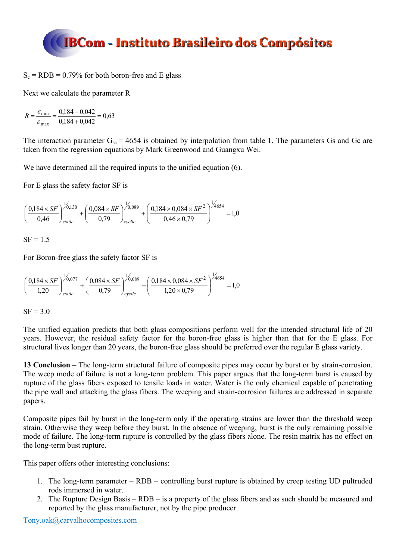$S_c = RDB = 0.79\%$  for both boron-free and E glass

Next we calculate the parameter R

$$
R = \frac{\varepsilon_{\min}}{\varepsilon_{\max}} = \frac{0.184 - 0.042}{0.184 + 0.042} = 0.63
$$

The interaction parameter  $G_{sc}$  = 4654 is obtained by interpolation from table 1. The parameters Gs and Gc are taken from the regression equations by Mark Greenwood and Guangxu Wei.

We have determined all the required inputs to the unified equation (6).

For E glass the safety factor SF is

$$
\left(\frac{0,184\times SF}{0,46}\right)^{1/0,130}_{static} + \left(\frac{0,084\times SF}{0,79}\right)^{1/0,089}_{cyclic} + \left(\frac{0,184\times0,084\times SF^2}{0,46\times0,79}\right)^{1/4654} = 1,0
$$

 $SF = 1.5$ 

For Boron-free glass the safety factor SF is

$$
\left(\frac{0,184\times SF}{1,20}\right)^{1/0,077}_{static} + \left(\frac{0,084\times SF}{0,79}\right)^{1/0,089}_{cyclic} + \left(\frac{0,184\times0,084\times SF^2}{1,20\times0,79}\right)^{1/4654} = 1,0
$$

$$
SF = 3.0
$$

The unified equation predicts that both glass compositions perform well for the intended structural life of 20 years. However, the residual safety factor for the boron-free glass is higher than that for the E glass. For structural lives longer than 20 years, the boron-free glass should be preferred over the regular E glass variety.

**13 Conclusion –** The long-term structural failure of composite pipes may occur by burst or by strain-corrosion. The weep mode of failure is not a long-term problem. This paper argues that the long-term burst is caused by rupture of the glass fibers exposed to tensile loads in water. Water is the only chemical capable of penetrating the pipe wall and attacking the glass fibers. The weeping and strain-corrosion failures are addressed in separate papers.

Composite pipes fail by burst in the long-term only if the operating strains are lower than the threshold weep strain. Otherwise they weep before they burst. In the absence of weeping, burst is the only remaining possible mode of failure. The long-term rupture is controlled by the glass fibers alone. The resin matrix has no effect on the long-term bust rupture.

This paper offers other interesting conclusions:

- 1. The long-term parameter RDB controlling burst rupture is obtained by creep testing UD pultruded rods immersed in water.
- 2. The Rupture Design Basis RDB is a property of the glass fibers and as such should be measured and reported by the glass manufacturer, not by the pipe producer.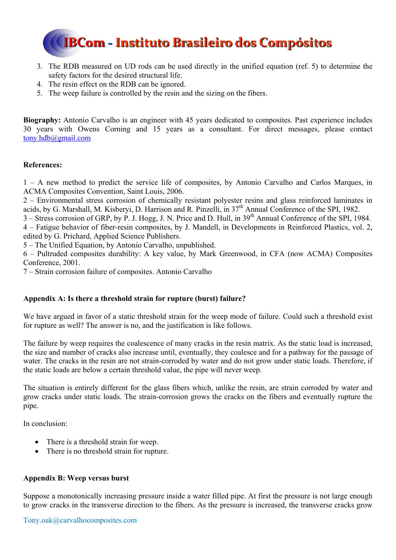

- 3. The RDB measured on UD rods can be used directly in the unified equation (ref. 5) to determine the safety factors for the desired structural life.
- 4. The resin effect on the RDB can be ignored.
- 5. The weep failure is controlled by the resin and the sizing on the fibers.

**Biography:** Antonio Carvalho is an engineer with 45 years dedicated to composites. Past experience includes 30 years with Owens Corning and 15 years as a consultant. For direct messages, please contact tony.hdb@gmail.com

### **References:**

1 – A new method to predict the service life of composites, by Antonio Carvalho and Carlos Marques, in ACMA Composites Convention, Saint Louis, 2006.

2 – Environmental stress corrosion of chemically resistant polyester resins and glass reinforced laminates in acids, by G. Marshall, M. Kisberyi, D. Harrison and R. Pinzelli, in 37<sup>th</sup> Annual Conference of the SPI, 1982.

3 – Stress corrosion of GRP, by P. J. Hogg, J. N. Price and D. Hull, in 39<sup>th</sup> Annual Conference of the SPI, 1984.

4 – Fatigue behavior of fiber-resin composites, by J. Mandell, in Developments in Reinforced Plastics, vol. 2, edited by G. Prichard, Applied Science Publishers.

5 – The Unified Equation, by Antonio Carvalho, unpublished.

6 – Pultruded composites durability: A key value, by Mark Greenwood, in CFA (now ACMA) Composites Conference, 2001.

7 – Strain corrosion failure of composites. Antonio Carvalho

### **Appendix A: Is there a threshold strain for rupture (burst) failure?**

We have argued in favor of a static threshold strain for the weep mode of failure. Could such a threshold exist for rupture as well? The answer is no, and the justification is like follows.

The failure by weep requires the coalescence of many cracks in the resin matrix. As the static load is increased, the size and number of cracks also increase until, eventually, they coalesce and for a pathway for the passage of water. The cracks in the resin are not strain-corroded by water and do not grow under static loads. Therefore, if the static loads are below a certain threshold value, the pipe will never weep.

The situation is entirely different for the glass fibers which, unlike the resin, are strain corroded by water and grow cracks under static loads. The strain-corrosion grows the cracks on the fibers and eventually rupture the pipe.

In conclusion:

- There is a threshold strain for weep.
- There is no threshold strain for rupture.

### **Appendix B: Weep versus burst**

Suppose a monotonically increasing pressure inside a water filled pipe. At first the pressure is not large enough to grow cracks in the transverse direction to the fibers. As the pressure is increased, the transverse cracks grow